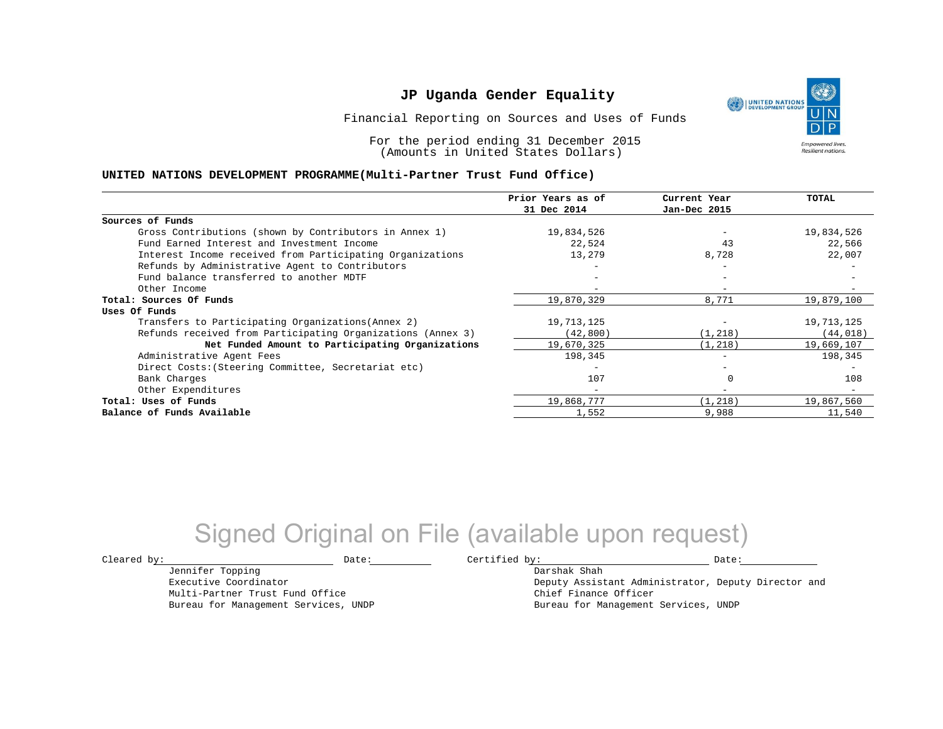Financial Reporting on Sources and Uses of Funds

For the period ending 31 December 2015 (Amounts in United States Dollars)

#### **UNITED NATIONS DEVELOPMENT PROGRAMME(Multi-Partner Trust Fund Office)**

|                                                             | Prior Years as of | Current Year             | <b>TOTAL</b> |
|-------------------------------------------------------------|-------------------|--------------------------|--------------|
|                                                             | 31 Dec 2014       | Jan-Dec 2015             |              |
| Sources of Funds                                            |                   |                          |              |
| Gross Contributions (shown by Contributors in Annex 1)      | 19,834,526        |                          | 19,834,526   |
| Fund Earned Interest and Investment Income                  | 22,524            | 43                       | 22,566       |
| Interest Income received from Participating Organizations   | 13,279            | 8,728                    | 22,007       |
| Refunds by Administrative Agent to Contributors             |                   | $\overline{\phantom{0}}$ |              |
| Fund balance transferred to another MDTF                    |                   |                          |              |
| Other Income                                                |                   |                          |              |
| Total: Sources Of Funds                                     | 19,870,329        | 8,771                    | 19,879,100   |
| Uses Of Funds                                               |                   |                          |              |
| Transfers to Participating Organizations (Annex 2)          | 19,713,125        |                          | 19,713,125   |
| Refunds received from Participating Organizations (Annex 3) | (42, 800)         | (1, 218)                 | (44, 018)    |
| Net Funded Amount to Participating Organizations            | 19,670,325        | (1, 218)                 | 19,669,107   |
| Administrative Agent Fees                                   | 198,345           |                          | 198,345      |
| Direct Costs: (Steering Committee, Secretariat etc)         |                   |                          |              |
| Bank Charges                                                | 107               |                          | 108          |
| Other Expenditures                                          |                   | $-$                      |              |
| Total: Uses of Funds                                        | 19,868,777        | (1, 218)                 | 19,867,560   |
| Balance of Funds Available                                  | 1,552             | 9,988                    | 11,540       |

# Signed Original on File (available upon request)

Jennifer Topping Executive Coordinator Multi-Partner Trust Fund Office Bureau for Management Services, UNDP

 $\texttt{Cleared by:}\footnotesize \begin{minipage}{0.9\linewidth} \texttt{Date:}\footnotesize \begin{minipage}{0.9\linewidth} \texttt{Date:}\footnotesize \begin{minipage}{0.9\linewidth} \end{minipage} \end{minipage}$ 

Darshak Shah Deputy Assistant Administrator, Deputy Director and Chief Finance Officer Bureau for Management Services, UNDP

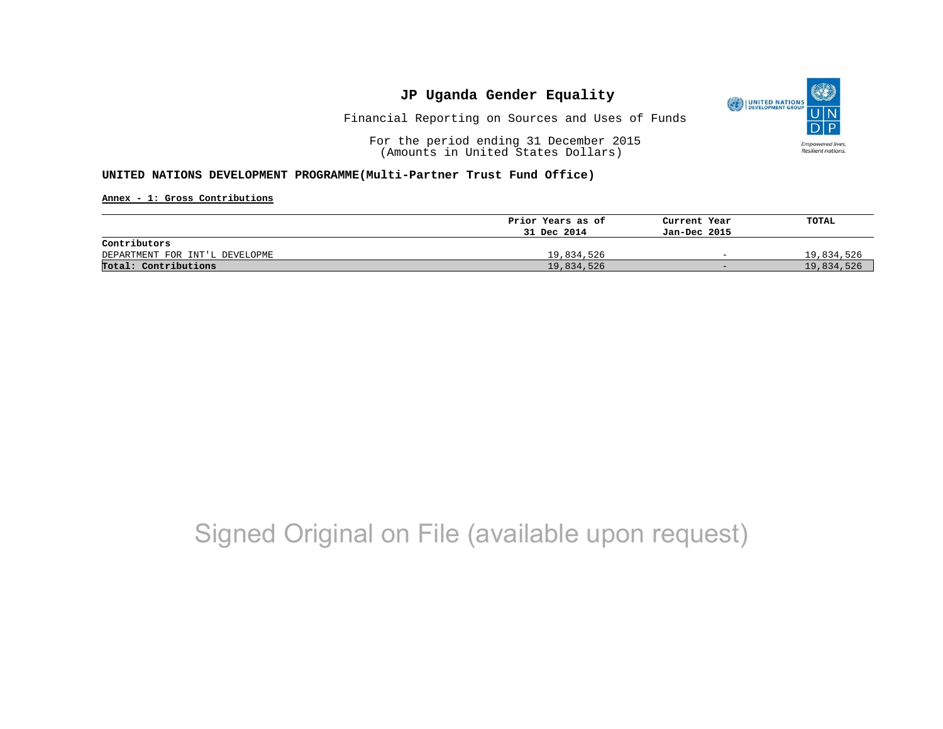

Financial Reporting on Sources and Uses of Funds

For the period ending 31 December 2015 (Amounts in United States Dollars)

#### **UNITED NATIONS DEVELOPMENT PROGRAMME(Multi-Partner Trust Fund Office)**

**Annex - 1: Gross Contributions**

|                                | Prior Years as of | Current Year             | TOTAL      |
|--------------------------------|-------------------|--------------------------|------------|
|                                | 31 Dec 2014       | Jan-Dec 2015             |            |
| Contributors                   |                   |                          |            |
| DEPARTMENT FOR INT'L DEVELOPME | 19,834,526        | $\overline{\phantom{0}}$ | 19,834,526 |
| Total: Contributions           | 19,834,526        | $-$                      | 19,834,526 |

# Signed Original on File (available upon request)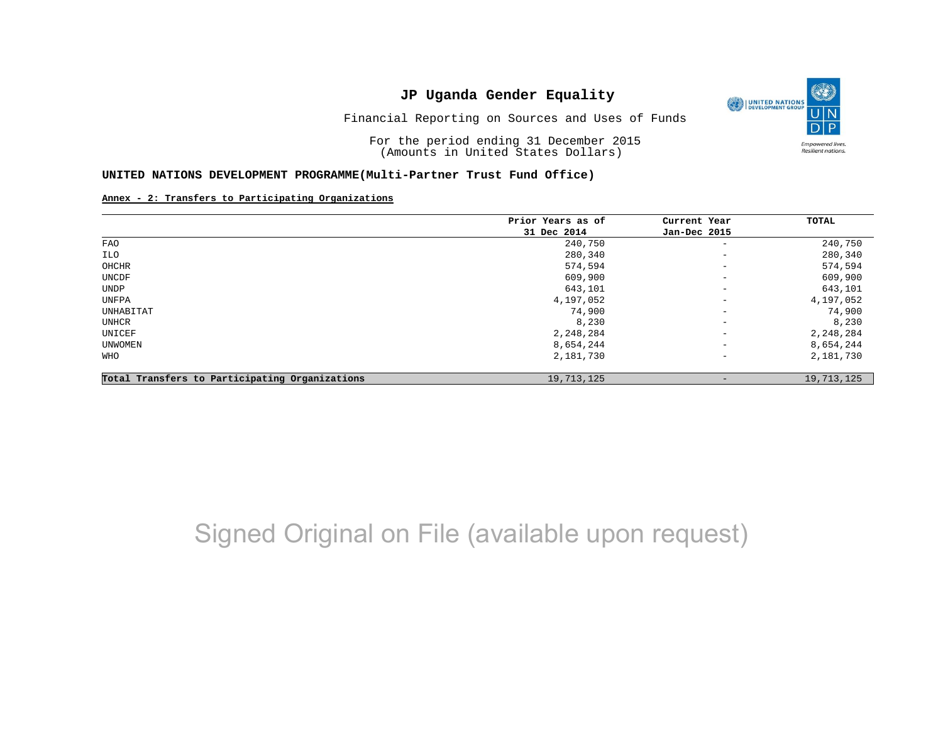

Financial Reporting on Sources and Uses of Funds

For the period ending 31 December 2015 (Amounts in United States Dollars)

#### **UNITED NATIONS DEVELOPMENT PROGRAMME(Multi-Partner Trust Fund Office)**

#### **Annex - 2: Transfers to Participating Organizations**

|                                                | Prior Years as of | Current Year             | TOTAL      |
|------------------------------------------------|-------------------|--------------------------|------------|
|                                                | 31 Dec 2014       | Jan-Dec 2015             |            |
| FAO                                            | 240,750           | $\qquad \qquad -$        | 240,750    |
| ILO                                            | 280,340           | $\overline{\phantom{a}}$ | 280,340    |
| OHCHR                                          | 574,594           | $\overline{\phantom{m}}$ | 574,594    |
| UNCDF                                          | 609,900           | $\overline{\phantom{a}}$ | 609,900    |
| UNDP                                           | 643,101           | $\overline{\phantom{m}}$ | 643,101    |
| UNFPA                                          | 4,197,052         | $\overline{\phantom{m}}$ | 4,197,052  |
| UNHABITAT                                      | 74,900            | $\overline{\phantom{m}}$ | 74,900     |
| UNHCR                                          | 8,230             | $\overline{\phantom{m}}$ | 8,230      |
| UNICEF                                         | 2,248,284         | $\overline{\phantom{m}}$ | 2,248,284  |
| UNWOMEN                                        | 8,654,244         | $\overline{\phantom{m}}$ | 8,654,244  |
| WHO                                            | 2,181,730         | $\qquad \qquad -$        | 2,181,730  |
| Total Transfers to Participating Organizations | 19,713,125        |                          | 19,713,125 |

# Signed Original on File (available upon request)